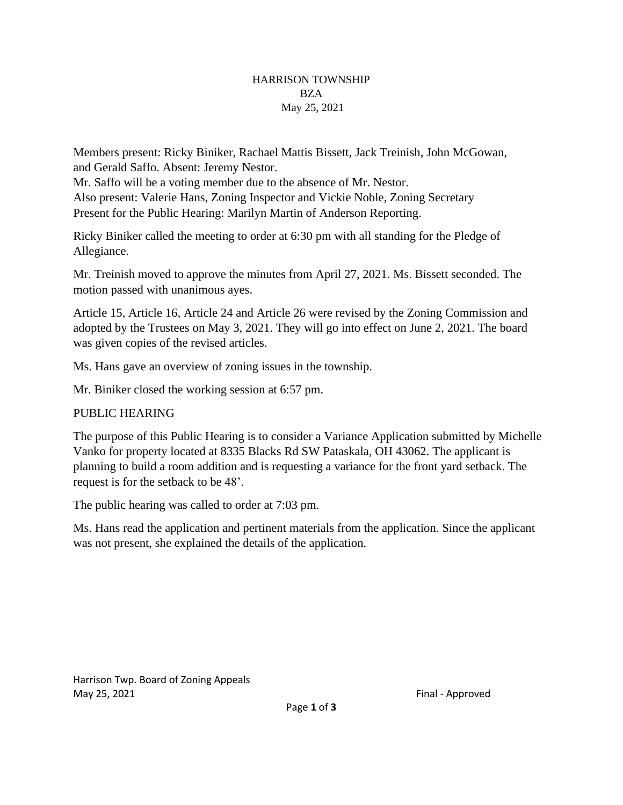## HARRISON TOWNSHIP BZA May 25, 2021

Members present: Ricky Biniker, Rachael Mattis Bissett, Jack Treinish, John McGowan, and Gerald Saffo. Absent: Jeremy Nestor.

Mr. Saffo will be a voting member due to the absence of Mr. Nestor. Also present: Valerie Hans, Zoning Inspector and Vickie Noble, Zoning Secretary Present for the Public Hearing: Marilyn Martin of Anderson Reporting.

Ricky Biniker called the meeting to order at 6:30 pm with all standing for the Pledge of Allegiance.

Mr. Treinish moved to approve the minutes from April 27, 2021. Ms. Bissett seconded. The motion passed with unanimous ayes.

Article 15, Article 16, Article 24 and Article 26 were revised by the Zoning Commission and adopted by the Trustees on May 3, 2021. They will go into effect on June 2, 2021. The board was given copies of the revised articles.

Ms. Hans gave an overview of zoning issues in the township.

Mr. Biniker closed the working session at 6:57 pm.

## PUBLIC HEARING

The purpose of this Public Hearing is to consider a Variance Application submitted by Michelle Vanko for property located at 8335 Blacks Rd SW Pataskala, OH 43062. The applicant is planning to build a room addition and is requesting a variance for the front yard setback. The request is for the setback to be 48'.

The public hearing was called to order at 7:03 pm.

Ms. Hans read the application and pertinent materials from the application. Since the applicant was not present, she explained the details of the application.

Harrison Twp. Board of Zoning Appeals May 25, 2021 **Final - Approved**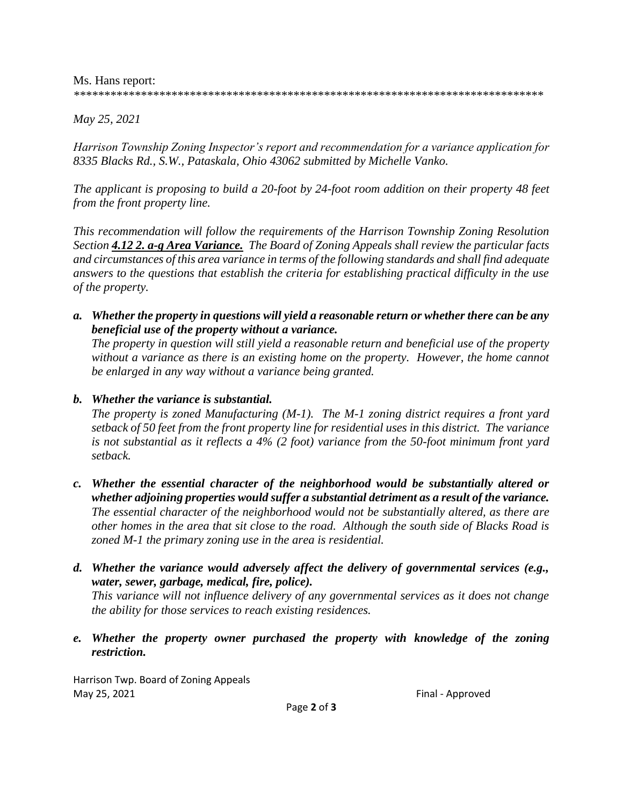Ms. Hans report:

*\*\*\*\*\*\*\*\*\*\*\*\*\*\*\*\*\*\*\*\*\*\*\*\*\*\*\*\*\*\*\*\*\*\*\*\*\*\*\*\*\*\*\*\*\*\*\*\*\*\*\*\*\*\*\*\*\*\*\*\*\*\*\*\*\*\*\*\*\*\*\*\*\*\*\*\*\**

*May 25, 2021*

*Harrison Township Zoning Inspector's report and recommendation for a variance application for 8335 Blacks Rd., S.W., Pataskala, Ohio 43062 submitted by Michelle Vanko.*

*The applicant is proposing to build a 20-foot by 24-foot room addition on their property 48 feet from the front property line.*

*This recommendation will follow the requirements of the Harrison Township Zoning Resolution Section 4.12 2. a-g Area Variance. The Board of Zoning Appeals shall review the particular facts and circumstances of this area variance in terms of the following standards and shall find adequate answers to the questions that establish the criteria for establishing practical difficulty in the use of the property.*

*a. Whether the property in questions will yield a reasonable return or whether there can be any beneficial use of the property without a variance.*

*The property in question will still yield a reasonable return and beneficial use of the property without a variance as there is an existing home on the property. However, the home cannot be enlarged in any way without a variance being granted.*

## *b. Whether the variance is substantial.*

*The property is zoned Manufacturing (M-1). The M-1 zoning district requires a front yard setback of 50 feet from the front property line for residential uses in this district. The variance is not substantial as it reflects a 4% (2 foot) variance from the 50-foot minimum front yard setback.*

- *c. Whether the essential character of the neighborhood would be substantially altered or whether adjoining properties would suffer a substantial detriment as a result of the variance. The essential character of the neighborhood would not be substantially altered, as there are other homes in the area that sit close to the road. Although the south side of Blacks Road is zoned M-1 the primary zoning use in the area is residential.*
- *d. Whether the variance would adversely affect the delivery of governmental services (e.g., water, sewer, garbage, medical, fire, police). This variance will not influence delivery of any governmental services as it does not change the ability for those services to reach existing residences.*
- *e. Whether the property owner purchased the property with knowledge of the zoning restriction.*

Harrison Twp. Board of Zoning Appeals May 25, 2021 **Final - Approved Final - Approved**